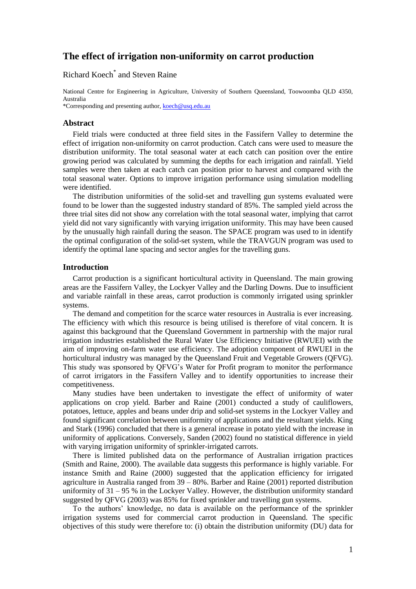# **The effect of irrigation non-uniformity on carrot production**

# Richard Koech\* and Steven Raine

National Centre for Engineering in Agriculture, University of Southern Queensland, Toowoomba QLD 4350, Australia \*Corresponding and presenting author, [koech@usq.edu.au](mailto:koech@usq.edu.au)

#### **Abstract**

Field trials were conducted at three field sites in the Fassifern Valley to determine the effect of irrigation non-uniformity on carrot production. Catch cans were used to measure the distribution uniformity. The total seasonal water at each catch can position over the entire growing period was calculated by summing the depths for each irrigation and rainfall. Yield samples were then taken at each catch can position prior to harvest and compared with the total seasonal water. Options to improve irrigation performance using simulation modelling were identified.

The distribution uniformities of the solid-set and travelling gun systems evaluated were found to be lower than the suggested industry standard of 85%. The sampled yield across the three trial sites did not show any correlation with the total seasonal water, implying that carrot yield did not vary significantly with varying irrigation uniformity. This may have been caused by the unusually high rainfall during the season. The SPACE program was used to in identify the optimal configuration of the solid-set system, while the TRAVGUN program was used to identify the optimal lane spacing and sector angles for the travelling guns.

#### **Introduction**

Carrot production is a significant horticultural activity in Queensland. The main growing areas are the Fassifern Valley, the Lockyer Valley and the Darling Downs. Due to insufficient and variable rainfall in these areas, carrot production is commonly irrigated using sprinkler systems.

The demand and competition for the scarce water resources in Australia is ever increasing. The efficiency with which this resource is being utilised is therefore of vital concern. It is against this background that the Queensland Government in partnership with the major rural irrigation industries established the Rural Water Use Efficiency Initiative (RWUEI) with the aim of improving on-farm water use efficiency. The adoption component of RWUEI in the horticultural industry was managed by the Queensland Fruit and Vegetable Growers (QFVG). This study was sponsored by QFVG's Water for Profit program to monitor the performance of carrot irrigators in the Fassifern Valley and to identify opportunities to increase their competitiveness.

Many studies have been undertaken to investigate the effect of uniformity of water applications on crop yield. Barber and Raine (2001) conducted a study of cauliflowers, potatoes, lettuce, apples and beans under drip and solid-set systems in the Lockyer Valley and found significant correlation between uniformity of applications and the resultant yields. King and Stark (1996) concluded that there is a general increase in potato yield with the increase in uniformity of applications. Conversely, Sanden (2002) found no statistical difference in yield with varying irrigation uniformity of sprinkler-irrigated carrots.

There is limited published data on the performance of Australian irrigation practices (Smith and Raine, 2000). The available data suggests this performance is highly variable. For instance Smith and Raine (2000) suggested that the application efficiency for irrigated agriculture in Australia ranged from 39 – 80%. Barber and Raine (2001) reported distribution uniformity of 31 – 95 % in the Lockyer Valley. However, the distribution uniformity standard suggested by QFVG (2003) was 85% for fixed sprinkler and travelling gun systems.

To the authors' knowledge, no data is available on the performance of the sprinkler irrigation systems used for commercial carrot production in Queensland. The specific objectives of this study were therefore to: (i) obtain the distribution uniformity (DU) data for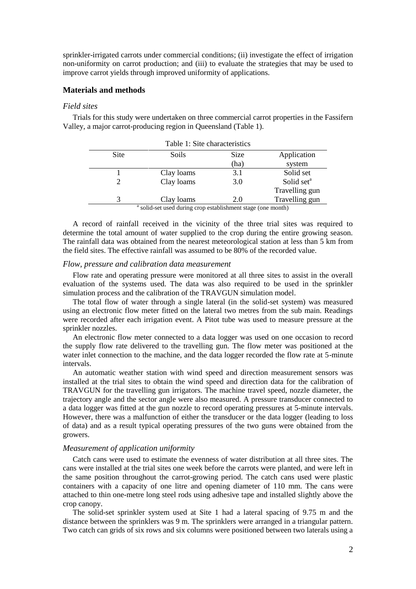sprinkler-irrigated carrots under commercial conditions; (ii) investigate the effect of irrigation non-uniformity on carrot production; and (iii) to evaluate the strategies that may be used to improve carrot yields through improved uniformity of applications.

### **Materials and methods**

# *Field sites*

Trials for this study were undertaken on three commercial carrot properties in the Fassifern Valley, a major carrot-producing region in Queensland (Table 1).

| Table 1: Site characteristics                                           |            |      |                        |  |  |  |
|-------------------------------------------------------------------------|------------|------|------------------------|--|--|--|
| <b>Site</b>                                                             | Soils      | Size | Application            |  |  |  |
|                                                                         |            | (ha) | system                 |  |  |  |
|                                                                         | Clay loams | 3.1  | Solid set              |  |  |  |
|                                                                         | Clay loams | 3.0  | Solid set <sup>a</sup> |  |  |  |
|                                                                         |            |      | Travelling gun         |  |  |  |
| 3                                                                       | Clay loams | 2.0  | Travelling gun         |  |  |  |
| <sup>a</sup> solid-set used during crop establishment stage (one month) |            |      |                        |  |  |  |

A record of rainfall received in the vicinity of the three trial sites was required to determine the total amount of water supplied to the crop during the entire growing season. The rainfall data was obtained from the nearest meteorological station at less than 5 km from the field sites. The effective rainfall was assumed to be 80% of the recorded value.

#### *Flow, pressure and calibration data measurement*

Flow rate and operating pressure were monitored at all three sites to assist in the overall evaluation of the systems used. The data was also required to be used in the sprinkler simulation process and the calibration of the TRAVGUN simulation model.

The total flow of water through a single lateral (in the solid-set system) was measured using an electronic flow meter fitted on the lateral two metres from the sub main. Readings were recorded after each irrigation event. A Pitot tube was used to measure pressure at the sprinkler nozzles.

An electronic flow meter connected to a data logger was used on one occasion to record the supply flow rate delivered to the travelling gun. The flow meter was positioned at the water inlet connection to the machine, and the data logger recorded the flow rate at 5-minute intervals.

An automatic weather station with wind speed and direction measurement sensors was installed at the trial sites to obtain the wind speed and direction data for the calibration of TRAVGUN for the travelling gun irrigators. The machine travel speed, nozzle diameter, the trajectory angle and the sector angle were also measured. A pressure transducer connected to a data logger was fitted at the gun nozzle to record operating pressures at 5-minute intervals. However, there was a malfunction of either the transducer or the data logger (leading to loss of data) and as a result typical operating pressures of the two guns were obtained from the growers.

## *Measurement of application uniformity*

Catch cans were used to estimate the evenness of water distribution at all three sites. The cans were installed at the trial sites one week before the carrots were planted, and were left in the same position throughout the carrot-growing period. The catch cans used were plastic containers with a capacity of one litre and opening diameter of 110 mm. The cans were attached to thin one-metre long steel rods using adhesive tape and installed slightly above the crop canopy.

The solid-set sprinkler system used at Site 1 had a lateral spacing of 9.75 m and the distance between the sprinklers was 9 m. The sprinklers were arranged in a triangular pattern. Two catch can grids of six rows and six columns were positioned between two laterals using a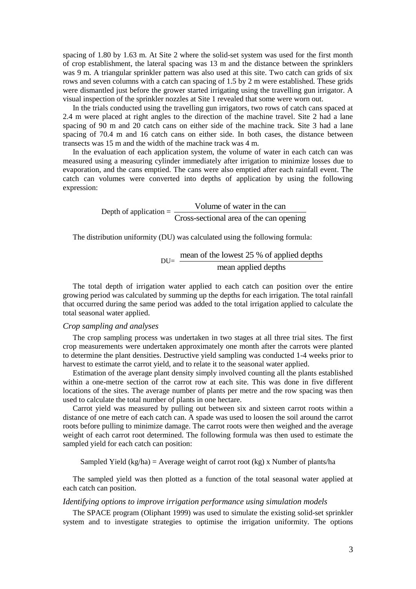spacing of 1.80 by 1.63 m. At Site 2 where the solid-set system was used for the first month of crop establishment, the lateral spacing was 13 m and the distance between the sprinklers was 9 m. A triangular sprinkler pattern was also used at this site. Two catch can grids of six rows and seven columns with a catch can spacing of 1.5 by 2 m were established. These grids were dismantled just before the grower started irrigating using the travelling gun irrigator. A visual inspection of the sprinkler nozzles at Site 1 revealed that some were worn out.

In the trials conducted using the travelling gun irrigators, two rows of catch cans spaced at 2.4 m were placed at right angles to the direction of the machine travel. Site 2 had a lane spacing of 90 m and 20 catch cans on either side of the machine track. Site 3 had a lane spacing of 70.4 m and 16 catch cans on either side. In both cases, the distance between transects was 15 m and the width of the machine track was 4 m.

In the evaluation of each application system, the volume of water in each catch can was measured using a measuring cylinder immediately after irrigation to minimize losses due to evaporation, and the cans emptied. The cans were also emptied after each rainfall event. The catch can volumes were converted into depths of application by using the following expression:

> Depth of application  $=$   $\frac{\text{Volume of water in the can}}{\text{Mean of water in the end}}$ Cross-sectional area of the can opening

The distribution uniformity (DU) was calculated using the following formula:

$$
DU = \frac{\text{mean of the lowest 25 % of applied depths}}{\text{mean applied depths}}
$$

The total depth of irrigation water applied to each catch can position over the entire growing period was calculated by summing up the depths for each irrigation. The total rainfall that occurred during the same period was added to the total irrigation applied to calculate the total seasonal water applied.

## *Crop sampling and analyses*

The crop sampling process was undertaken in two stages at all three trial sites. The first crop measurements were undertaken approximately one month after the carrots were planted to determine the plant densities. Destructive yield sampling was conducted 1-4 weeks prior to harvest to estimate the carrot yield, and to relate it to the seasonal water applied.

Estimation of the average plant density simply involved counting all the plants established within a one-metre section of the carrot row at each site. This was done in five different locations of the sites. The average number of plants per metre and the row spacing was then used to calculate the total number of plants in one hectare.

Carrot yield was measured by pulling out between six and sixteen carrot roots within a distance of one metre of each catch can. A spade was used to loosen the soil around the carrot roots before pulling to minimize damage. The carrot roots were then weighed and the average weight of each carrot root determined. The following formula was then used to estimate the sampled yield for each catch can position:

Sampled Yield (kg/ha) = Average weight of carrot root (kg) x Number of plants/ha

The sampled yield was then plotted as a function of the total seasonal water applied at each catch can position.

# *Identifying options to improve irrigation performance using simulation models*

The SPACE program (Oliphant 1999) was used to simulate the existing solid-set sprinkler system and to investigate strategies to optimise the irrigation uniformity. The options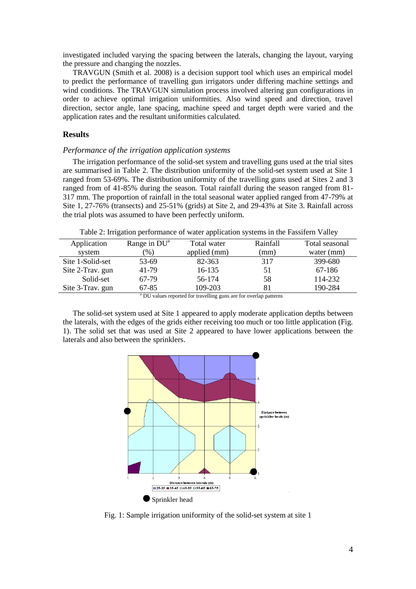investigated included varying the spacing between the laterals, changing the layout, varying the pressure and changing the nozzles.

TRAVGUN (Smith et al. 2008) is a decision support tool which uses an empirical model to predict the performance of travelling gun irrigators under differing machine settings and wind conditions. The TRAVGUN simulation process involved altering gun configurations in order to achieve optimal irrigation uniformities. Also wind speed and direction, travel direction, sector angle, lane spacing, machine speed and target depth were varied and the application rates and the resultant uniformities calculated.

# **Results**

### *Performance of the irrigation application systems*

The irrigation performance of the solid-set system and travelling guns used at the trial sites are summarised in Table 2. The distribution uniformity of the solid-set system used at Site 1 ranged from 53-69%. The distribution uniformity of the travelling guns used at Sites 2 and 3 ranged from of 41-85% during the season. Total rainfall during the season ranged from 81- 317 mm. The proportion of rainfall in the total seasonal water applied ranged from 47-79% at Site 1, 27-76% (transects) and 25-51% (grids) at Site 2, and 29-43% at Site 3. Rainfall across the trial plots was assumed to have been perfectly uniform.

Table 2: Irrigation performance of water application systems in the Fassifern Valley

| Application      | Range in $DU^a$ | Total water  | Rainfall | Total seasonal |  |
|------------------|-----------------|--------------|----------|----------------|--|
| system           | $(\%)$          | applied (mm) | (mm)     | water (mm)     |  |
| Site 1-Solid-set | 53-69           | 82-363       | 317      | 399-680        |  |
| Site 2-Trav. gun | 41-79           | 16-135       | 51       | 67-186         |  |
| Solid-set        | 67-79           | 56-174       | 58       | 114-232        |  |
| Site 3-Trav. gun | 67-85           | 109-203      | 81       | 190-284        |  |
|                  |                 |              |          |                |  |

DU values reported for travelling guns are for overlap patterns

The solid-set system used at Site 1 appeared to apply moderate application depths between the laterals, with the edges of the grids either receiving too much or too little application (Fig. 1). The solid set that was used at Site 2 appeared to have lower applications between the laterals and also between the sprinklers.



Fig. 1: Sample irrigation uniformity of the solid-set system at site 1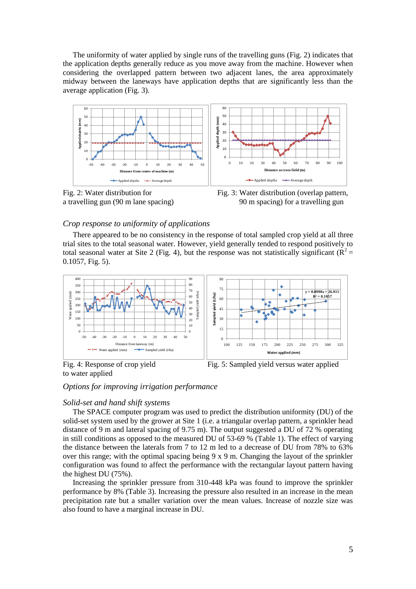The uniformity of water applied by single runs of the travelling guns (Fig. 2) indicates that the application depths generally reduce as you move away from the machine. However when considering the overlapped pattern between two adjacent lanes, the area approximately midway between the laneways have application depths that are significantly less than the average application (Fig. 3).



a travelling gun (90 m lane spacing) 90 m spacing) for a travelling gun

### *Crop response to uniformity of applications*

There appeared to be no consistency in the response of total sampled crop yield at all three trial sites to the total seasonal water. However, yield generally tended to respond positively to total seasonal water at Site 2 (Fig. 4), but the response was not statistically significant ( $\mathbb{R}^2$  = 0.1057, Fig. 5).





to water applied

# *Options for improving irrigation performance*

# *Solid-set and hand shift systems*

The SPACE computer program was used to predict the distribution uniformity (DU) of the solid-set system used by the grower at Site 1 (i.e. a triangular overlap pattern, a sprinkler head distance of 9 m and lateral spacing of 9.75 m). The output suggested a DU of 72 % operating in still conditions as opposed to the measured DU of 53-69 % (Table 1). The effect of varying the distance between the laterals from 7 to 12 m led to a decrease of DU from 78% to 63% over this range; with the optimal spacing being 9 x 9 m. Changing the layout of the sprinkler configuration was found to affect the performance with the rectangular layout pattern having the highest DU (75%).

Increasing the sprinkler pressure from 310-448 kPa was found to improve the sprinkler performance by 8% (Table 3). Increasing the pressure also resulted in an increase in the mean precipitation rate but a smaller variation over the mean values. Increase of nozzle size was also found to have a marginal increase in DU.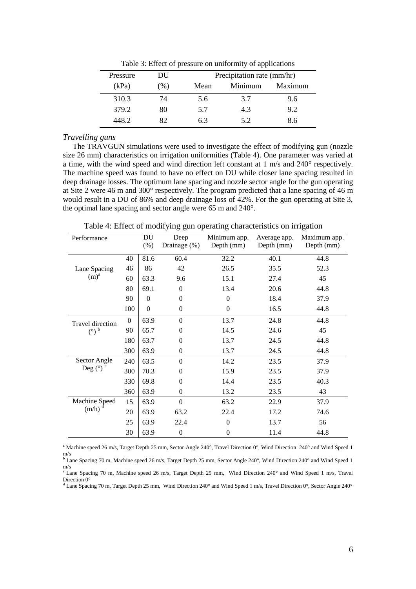|      | Precipitation rate (mm/hr)      |         |  |
|------|---------------------------------|---------|--|
| Mean | Minimum                         | Maximum |  |
| 5.6  | 3.7                             | 9.6     |  |
| 5.7  | 4.3                             | 9.2     |  |
| 6.3  | 5.2                             | 8.6     |  |
|      | DU<br>$(\% )$<br>74<br>80<br>82 |         |  |

Table 3: Effect of pressure on uniformity of applications

# *Travelling guns*

The TRAVGUN simulations were used to investigate the effect of modifying gun (nozzle size 26 mm) characteristics on irrigation uniformities (Table 4). One parameter was varied at a time, with the wind speed and wind direction left constant at 1 m/s and 240° respectively. The machine speed was found to have no effect on DU while closer lane spacing resulted in deep drainage losses. The optimum lane spacing and nozzle sector angle for the gun operating at Site 2 were 46 m and 300° respectively. The program predicted that a lane spacing of 46 m would result in a DU of 86% and deep drainage loss of 42%. For the gun operating at Site 3, the optimal lane spacing and sector angle were 65 m and 240°.

Table 4: Effect of modifying gun operating characteristics on irrigation

| Performance                               |              | DU           | Deep             | Minimum app.   | Average app. | Maximum app. |
|-------------------------------------------|--------------|--------------|------------------|----------------|--------------|--------------|
|                                           |              | (%)          | Drainage (%)     | Depth (mm)     | Depth (mm)   | Depth (mm)   |
|                                           | 40           | 81.6         | 60.4             | 32.2           | 40.1         | 44.8         |
| Lane Spacing<br>$(m)^a$                   | 46           | 86           | 42               | 26.5           | 35.5         | 52.3         |
|                                           | 60           | 63.3         | 9.6              | 15.1           | 27.4         | 45           |
|                                           | 80           | 69.1         | $\overline{0}$   | 13.4           | 20.6         | 44.8         |
|                                           | 90           | $\mathbf{0}$ | $\boldsymbol{0}$ | $\theta$       | 18.4         | 37.9         |
|                                           | 100          | $\mathbf{0}$ | $\boldsymbol{0}$ | $\mathbf{0}$   | 16.5         | 44.8         |
| <b>Travel direction</b><br>$\binom{0}{0}$ | $\mathbf{0}$ | 63.9         | $\overline{0}$   | 13.7           | 24.8         | 44.8         |
|                                           | 90           | 65.7         | 0                | 14.5           | 24.6         | 45           |
|                                           | 180          | 63.7         | $\overline{0}$   | 13.7           | 24.5         | 44.8         |
|                                           | 300          | 63.9         | $\boldsymbol{0}$ | 13.7           | 24.5         | 44.8         |
| Sector Angle<br>Deg $(^\circ)$ $^\circ$   | 240          | 63.5         | $\overline{0}$   | 14.2           | 23.5         | 37.9         |
|                                           | 300          | 70.3         | 0                | 15.9           | 23.5         | 37.9         |
|                                           | 330          | 69.8         | $\overline{0}$   | 14.4           | 23.5         | 40.3         |
|                                           | 360          | 63.9         | $\boldsymbol{0}$ | 13.2           | 23.5         | 43           |
| Machine Speed<br>d<br>(m/h)               | 15           | 63.9         | $\boldsymbol{0}$ | 63.2           | 22.9         | 37.9         |
|                                           | 20           | 63.9         | 63.2             | 22.4           | 17.2         | 74.6         |
|                                           | 25           | 63.9         | 22.4             | $\theta$       | 13.7         | 56           |
|                                           | 30           | 63.9         | $\boldsymbol{0}$ | $\overline{0}$ | 11.4         | 44.8         |

<sup>a</sup> Machine speed 26 m/s, Target Depth 25 mm, Sector Angle 240°, Travel Direction 0°, Wind Direction 240° and Wind Speed 1 m/s

**<sup>b</sup>** Lane Spacing 70 m, Machine speed 26 m/s, Target Depth 25 mm, Sector Angle 240°, Wind Direction 240° and Wind Speed 1 m/s **<sup>c</sup>**Lane Spacing 70 m, Machine speed 26 m/s, Target Depth 25 mm, Wind Direction 240° and Wind Speed 1 m/s, Travel

Direction 0<sup>°</sup> **<sup>d</sup>** Lane Spacing 70 m, Target Depth 25 mm, Wind Direction 240° and Wind Speed 1 m/s, Travel Direction 0°, Sector Angle 240°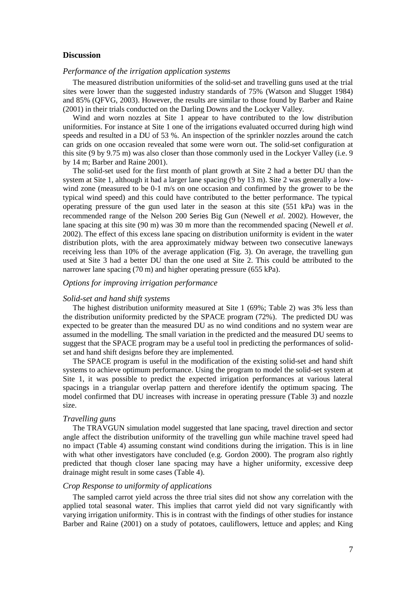# **Discussion**

#### *Performance of the irrigation application systems*

The measured distribution uniformities of the solid-set and travelling guns used at the trial sites were lower than the suggested industry standards of 75% (Watson and Slugget 1984) and 85% (QFVG, 2003). However, the results are similar to those found by Barber and Raine (2001) in their trials conducted on the Darling Downs and the Lockyer Valley.

Wind and worn nozzles at Site 1 appear to have contributed to the low distribution uniformities. For instance at Site 1 one of the irrigations evaluated occurred during high wind speeds and resulted in a DU of 53 %. An inspection of the sprinkler nozzles around the catch can grids on one occasion revealed that some were worn out. The solid-set configuration at this site (9 by 9.75 m) was also closer than those commonly used in the Lockyer Valley (i.e. 9 by 14 m; Barber and Raine 2001).

The solid-set used for the first month of plant growth at Site 2 had a better DU than the system at Site 1, although it had a larger lane spacing (9 by 13 m). Site 2 was generally a lowwind zone (measured to be 0-1 m/s on one occasion and confirmed by the grower to be the typical wind speed) and this could have contributed to the better performance. The typical operating pressure of the gun used later in the season at this site (551 kPa) was in the recommended range of the Nelson 200 Series Big Gun (Newell *et al*. 2002). However, the lane spacing at this site (90 m) was 30 m more than the recommended spacing (Newell *et al*. 2002). The effect of this excess lane spacing on distribution uniformity is evident in the water distribution plots, with the area approximately midway between two consecutive laneways receiving less than 10% of the average application (Fig. 3). On average, the travelling gun used at Site 3 had a better DU than the one used at Site 2. This could be attributed to the narrower lane spacing (70 m) and higher operating pressure (655 kPa).

# *Options for improving irrigation performance*

#### *Solid-set and hand shift systems*

The highest distribution uniformity measured at Site 1 (69%; Table 2) was 3% less than the distribution uniformity predicted by the SPACE program (72%). The predicted DU was expected to be greater than the measured DU as no wind conditions and no system wear are assumed in the modelling. The small variation in the predicted and the measured DU seems to suggest that the SPACE program may be a useful tool in predicting the performances of solidset and hand shift designs before they are implemented.

The SPACE program is useful in the modification of the existing solid-set and hand shift systems to achieve optimum performance. Using the program to model the solid-set system at Site 1, it was possible to predict the expected irrigation performances at various lateral spacings in a triangular overlap pattern and therefore identify the optimum spacing. The model confirmed that DU increases with increase in operating pressure (Table 3) and nozzle size.

# *Travelling guns*

The TRAVGUN simulation model suggested that lane spacing, travel direction and sector angle affect the distribution uniformity of the travelling gun while machine travel speed had no impact (Table 4) assuming constant wind conditions during the irrigation. This is in line with what other investigators have concluded (e.g. Gordon 2000). The program also rightly predicted that though closer lane spacing may have a higher uniformity, excessive deep drainage might result in some cases (Table 4).

### *Crop Response to uniformity of applications*

The sampled carrot yield across the three trial sites did not show any correlation with the applied total seasonal water. This implies that carrot yield did not vary significantly with varying irrigation uniformity. This is in contrast with the findings of other studies for instance Barber and Raine (2001) on a study of potatoes, cauliflowers, lettuce and apples; and King